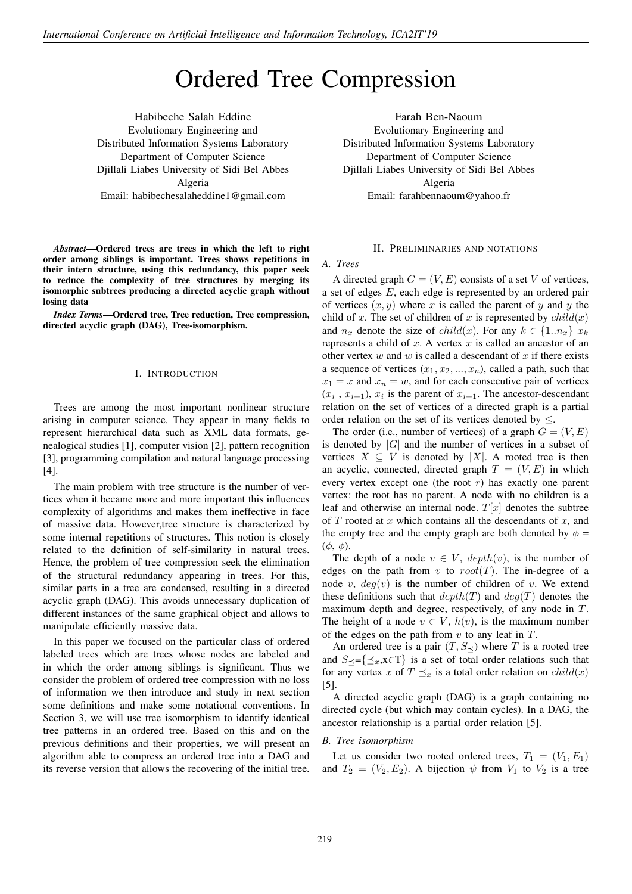# Ordered Tree Compression

Evolutionary Engineering and Distributed Information Systems Laboratory Department of Computer Science Djillali Liabes University of Sidi Bel Abbes Algeria Email: habibechesalaheddine1@gmail.com Habibeche Salah Eddine

*Abstract*—Ordered trees are trees in which the left to right order among siblings is important. Trees shows repetitions in their intern structure, using this redundancy, this paper seek to reduce the complexity of tree structures by merging its isomorphic subtrees producing a directed acyclic graph without losing data

*Index Terms*—Ordered tree, Tree reduction, Tree compression, directed acyclic graph (DAG), Tree-isomorphism.

## I. INTRODUCTION

Trees are among the most important nonlinear structure arising in computer science. They appear in many fields to represent hierarchical data such as XML data formats, genealogical studies [1], computer vision [2], pattern recognition [3], programming compilation and natural language processing [4].

The main problem with tree structure is the number of vertices when it became more and more important this influences complexity of algorithms and makes them ineffective in face of massive data. However,tree structure is characterized by some internal repetitions of structures. This notion is closely related to the definition of self-similarity in natural trees. Hence, the problem of tree compression seek the elimination of the structural redundancy appearing in trees. For this, similar parts in a tree are condensed, resulting in a directed acyclic graph (DAG). This avoids unnecessary duplication of different instances of the same graphical object and allows to manipulate efficiently massive data.

In this paper we focused on the particular class of ordered labeled trees which are trees whose nodes are labeled and in which the order among siblings is significant. Thus we consider the problem of ordered tree compression with no loss of information we then introduce and study in next section some definitions and make some notational conventions. In Section 3, we will use tree isomorphism to identify identical tree patterns in an ordered tree. Based on this and on the previous definitions and their properties, we will present an algorithm able to compress an ordered tree into a DAG and its reverse version that allows the recovering of the initial tree.

Farah Ben-Naoum Evolutionary Engineering and Distributed Information Systems Laboratory Department of Computer Science Djillali Liabes University of Sidi Bel Abbes Algeria Email: farahbennaoum@yahoo.fr

## II. PRELIMINARIES AND NOTATIONS

### *A. Trees*

A directed graph  $G = (V, E)$  consists of a set V of vertices, a set of edges E, each edge is represented by an ordered pair of vertices  $(x, y)$  where x is called the parent of y and y the child of x. The set of children of x is represented by  $child(x)$ and  $n_x$  denote the size of  $child(x)$ . For any  $k \in \{1..n_x\}$   $x_k$ represents a child of  $x$ . A vertex  $x$  is called an ancestor of an other vertex  $w$  and  $w$  is called a descendant of  $x$  if there exists a sequence of vertices  $(x_1, x_2, ..., x_n)$ , called a path, such that  $x_1 = x$  and  $x_n = w$ , and for each consecutive pair of vertices  $(x_i, x_{i+1}), x_i$  is the parent of  $x_{i+1}$ . The ancestor-descendant relation on the set of vertices of a directed graph is a partial order relation on the set of its vertices denoted by  $\leq$ .

The order (i.e., number of vertices) of a graph  $G = (V, E)$ is denoted by  $|G|$  and the number of vertices in a subset of vertices  $X \subseteq V$  is denoted by |X|. A rooted tree is then an acyclic, connected, directed graph  $T = (V, E)$  in which every vertex except one (the root  $r$ ) has exactly one parent vertex: the root has no parent. A node with no children is a leaf and otherwise an internal node.  $T[x]$  denotes the subtree of  $T$  rooted at  $x$  which contains all the descendants of  $x$ , and the empty tree and the empty graph are both denoted by  $\phi =$  $(\phi, \phi)$ .

The depth of a node  $v \in V$ ,  $depth(v)$ , is the number of edges on the path from v to  $root(T)$ . The in-degree of a node v,  $deg(v)$  is the number of children of v. We extend these definitions such that  $depth(T)$  and  $deg(T)$  denotes the maximum depth and degree, respectively, of any node in T. The height of a node  $v \in V$ ,  $h(v)$ , is the maximum number of the edges on the path from  $v$  to any leaf in  $T$ .

An ordered tree is a pair  $(T, S_{\prec})$  where T is a rooted tree and  $S_{\prec}=\{\preceq_x, x\in\Gamma\}$  is a set of total order relations such that for any vertex x of  $T \preceq_x$  is a total order relation on  $child(x)$  $|5|$ .

A directed acyclic graph (DAG) is a graph containing no directed cycle (but which may contain cycles). In a DAG, the ancestor relationship is a partial order relation [5].

#### *B. Tree isomorphism*

Let us consider two rooted ordered trees,  $T_1 = (V_1, E_1)$ and  $T_2 = (V_2, E_2)$ . A bijection  $\psi$  from  $V_1$  to  $V_2$  is a tree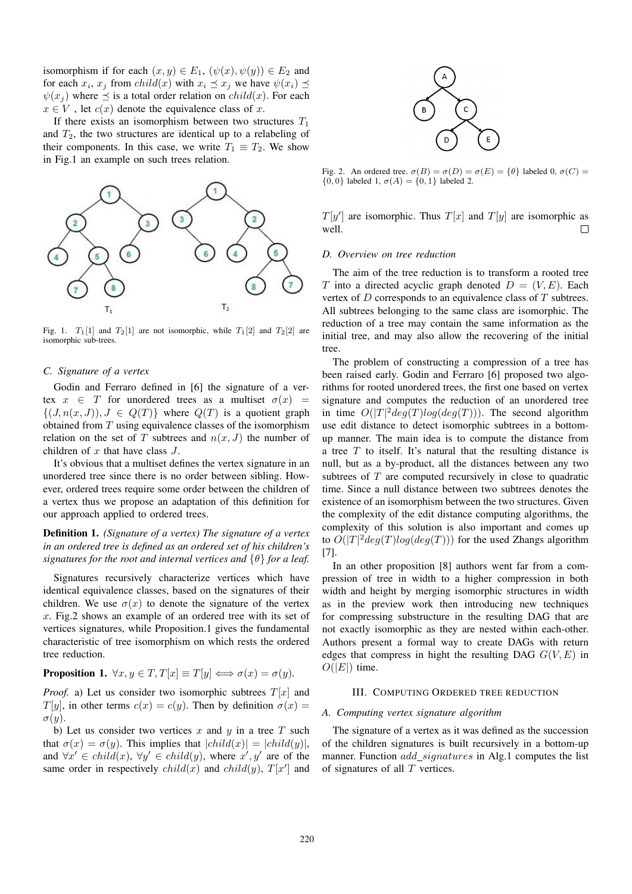isomorphism if for each  $(x, y) \in E_1$ ,  $(\psi(x), \psi(y)) \in E_2$  and for each  $x_i$ ,  $x_j$  from  $child(x)$  with  $x_i \leq x_j$  we have  $\psi(x_i) \leq$  $\psi(x_i)$  where  $\preceq$  is a total order relation on *child(x)*. For each  $x \in V$ , let  $c(x)$  denote the equivalence class of x.

If there exists an isomorphism between two structures  $T_1$ and  $T_2$ , the two structures are identical up to a relabeling of their components. In this case, we write  $T_1 \equiv T_2$ . We show in Fig.1 an example on such trees relation.



Fig. 1.  $T_1[1]$  and  $T_2[1]$  are not isomorphic, while  $T_1[2]$  and  $T_2[2]$  are isomorphic sub-trees.

## *C. Signature of a vertex*

Godin and Ferraro defined in [6] the signature of a vertex  $x \in T$  for unordered trees as a multiset  $\sigma(x)$  =  $\{(J, n(x, J)), J \in Q(T)\}\$  where  $Q(T)$  is a quotient graph obtained from T using equivalence classes of the isomorphism relation on the set of T subtrees and  $n(x, J)$  the number of children of  $x$  that have class  $J$ .

It's obvious that a multiset defines the vertex signature in an unordered tree since there is no order between sibling. However, ordered trees require some order between the children of a vertex thus we propose an adaptation of this definition for our approach applied to ordered trees.

Definition 1. *(Signature of a vertex) The signature of a vertex in an ordered tree is defined as an ordered set of his children's signatures for the root and internal vertices and* {θ} *for a leaf.*

Signatures recursively characterize vertices which have identical equivalence classes, based on the signatures of their children. We use  $\sigma(x)$  to denote the signature of the vertex x. Fig.2 shows an example of an ordered tree with its set of vertices signatures, while Proposition.1 gives the fundamental characteristic of tree isomorphism on which rests the ordered tree reduction.

**Proposition 1.**  $\forall x, y \in T$ ,  $T[x] \equiv T[y] \Longleftrightarrow \sigma(x) = \sigma(y)$ .

*Proof.* a) Let us consider two isomorphic subtrees  $T[x]$  and  $T[y]$ , in other terms  $c(x) = c(y)$ . Then by definition  $\sigma(x) =$  $\sigma(y)$ .

b) Let us consider two vertices x and y in a tree T such that  $\sigma(x) = \sigma(y)$ . This implies that  $|child(x)| = |child(y)|$ , and  $\forall x' \in child(x), \forall y' \in child(y)$ , where  $x', y'$  are of the same order in respectively  $child(x)$  and  $child(y)$ ,  $T[x']$  and



Fig. 2. An ordered tree.  $\sigma(B) = \sigma(D) = \sigma(E) = {\theta}$  labeled 0,  $\sigma(C) =$  ${0,0}$  labeled 1,  $\sigma(A) = {0,1}$  labeled 2.

 $T[y']$  are isomorphic. Thus  $T[x]$  and  $T[y]$  are isomorphic as well.  $\Box$ 

#### *D. Overview on tree reduction*

The aim of the tree reduction is to transform a rooted tree T into a directed acyclic graph denoted  $D = (V, E)$ . Each vertex of  $D$  corresponds to an equivalence class of  $T$  subtrees. All subtrees belonging to the same class are isomorphic. The reduction of a tree may contain the same information as the initial tree, and may also allow the recovering of the initial tree.

The problem of constructing a compression of a tree has been raised early. Godin and Ferraro [6] proposed two algorithms for rooted unordered trees, the first one based on vertex signature and computes the reduction of an unordered tree in time  $O(|T|^2 deg(T) log(deg(T)))$ . The second algorithm use edit distance to detect isomorphic subtrees in a bottomup manner. The main idea is to compute the distance from a tree  $T$  to itself. It's natural that the resulting distance is null, but as a by-product, all the distances between any two subtrees of  $T$  are computed recursively in close to quadratic time. Since a null distance between two subtrees denotes the existence of an isomorphism between the two structures. Given the complexity of the edit distance computing algorithms, the complexity of this solution is also important and comes up to  $O(|T|^2 deg(T) log(deg(T)))$  for the used Zhangs algorithm [7].

In an other proposition [8] authors went far from a compression of tree in width to a higher compression in both width and height by merging isomorphic structures in width as in the preview work then introducing new techniques for compressing substructure in the resulting DAG that are not exactly isomorphic as they are nested within each-other. Authors present a formal way to create DAGs with return edges that compress in hight the resulting DAG  $G(V, E)$  in  $O(|E|)$  time.

## III. COMPUTING ORDERED TREE REDUCTION

## *A. Computing vertex signature algorithm*

The signature of a vertex as it was defined as the succession of the children signatures is built recursively in a bottom-up manner. Function *add\_signatures* in Alg.1 computes the list of signatures of all T vertices.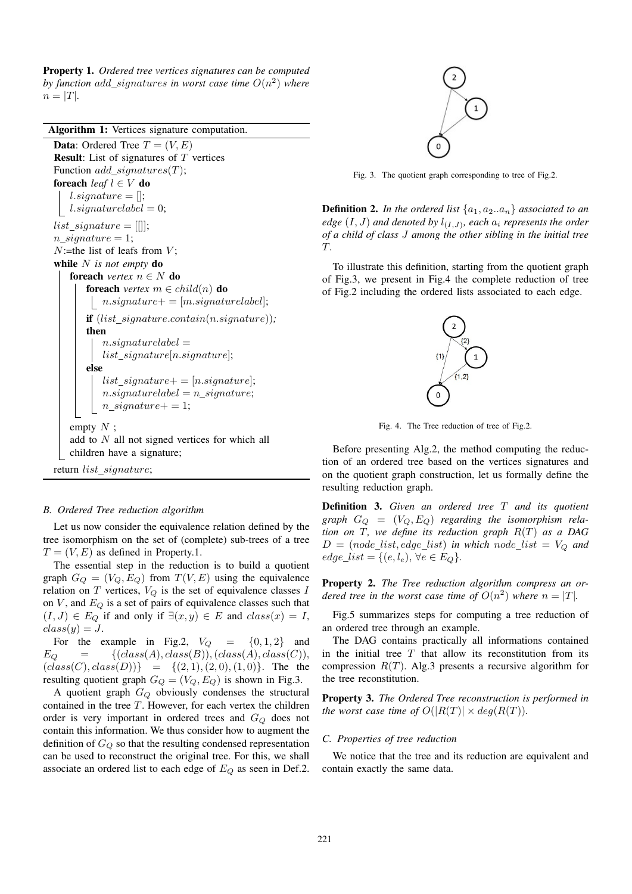Property 1. *Ordered tree vertices signatures can be computed* by function  $add\_signatures$  in worst case time  $O(n^2)$  where  $n = |T|$ .

Algorithm 1: Vertices signature computation. **Data:** Ordered Tree  $T = (V, E)$ **Result:** List of signatures of  $T$  vertices Function  $add\_signatures(T);$ foreach *leaf*  $l \in V$  do l.signature  $=$   $\parallel$ ; |  $l.\text{signaturelabel} = 0;$  $list\_signature = []];$  $n\_signature = 1;$  $N$ :=the list of leafs from  $V$ ; while N *is not empty* do **foreach** *vertex*  $n \in N$  **do foreach** *vertex*  $m \in \text{child}(n)$  **do** |  $n.\mathit{signature} += [m.\mathit{signaturelabel}];$ if  $(list\_signature.contain(n.\nsignature));$ then  $n.\mathit{signaturelabel} =$ list signature[n.signature]; else list signature  $=$  [n.signature];  $n.\dot{signal}urelabel = n.\dot{signal}ure;$  $n\_signature += 1;$ empty  $N$ ; add to N all not signed vertices for which all children have a signature; return list\_signature;

## *B. Ordered Tree reduction algorithm*

Let us now consider the equivalence relation defined by the tree isomorphism on the set of (complete) sub-trees of a tree  $T = (V, E)$  as defined in Property.1.

The essential step in the reduction is to build a quotient graph  $G_Q = (V_Q, E_Q)$  from  $T(V, E)$  using the equivalence relation on  $T$  vertices,  $V_Q$  is the set of equivalence classes  $I$ on  $V$ , and  $E_Q$  is a set of pairs of equivalence classes such that  $(I, J) \in E_Q$  if and only if  $\exists (x, y) \in E$  and  $class(x) = I$ ,  $class(y) = J.$ 

For the example in Fig.2,  $V_Q = \{0, 1, 2\}$  and<br>  $E_Q = \{(class(A), class(B)), (class(A), class(C)),$  $\{(class(A), class(B)),(class(A), class(C)),$  $(class(C), class(D)) \} = \{ (2, 1), (2, 0), (1, 0) \}.$  The the resulting quotient graph  $G_Q = (V_Q, E_Q)$  is shown in Fig.3.

A quotient graph  $G_Q$  obviously condenses the structural contained in the tree T. However, for each vertex the children order is very important in ordered trees and  $G<sub>O</sub>$  does not contain this information. We thus consider how to augment the definition of  $G_Q$  so that the resulting condensed representation can be used to reconstruct the original tree. For this, we shall associate an ordered list to each edge of  $E_Q$  as seen in Def.2.



Fig. 3. The quotient graph corresponding to tree of Fig.2.

**Definition 2.** In the ordered list  $\{a_1, a_2..a_n\}$  associated to an *edge*  $(I, J)$  and denoted by  $l_{(I, J)}$ , each  $a_i$  represents the order *of a child of class* J *among the other sibling in the initial tree* T*.*

To illustrate this definition, starting from the quotient graph of Fig.3, we present in Fig.4 the complete reduction of tree of Fig.2 including the ordered lists associated to each edge.



Fig. 4. The Tree reduction of tree of Fig.2.

Before presenting Alg.2, the method computing the reduction of an ordered tree based on the vertices signatures and on the quotient graph construction, let us formally define the resulting reduction graph.

Definition 3. *Given an ordered tree* T *and its quotient* graph  $G_Q = (V_Q, E_Q)$  regarding the isomorphism rela*tion on* T*, we define its reduction graph* R(T) *as a DAG*  $D = (node\_list, edge\_list)$  *in which node\_list* =  $V_Q$  *and*  $edge\_list = \{(e, l_e), \forall e \in E_Q\}.$ 

Property 2. *The Tree reduction algorithm compress an ordered tree in the worst case time of*  $O(n^2)$  *where*  $n = |T|$ *.* 

Fig.5 summarizes steps for computing a tree reduction of an ordered tree through an example.

The DAG contains practically all informations contained in the initial tree  $T$  that allow its reconstitution from its compression  $R(T)$ . Alg.3 presents a recursive algorithm for the tree reconstitution.

Property 3. *The Ordered Tree reconstruction is performed in the worst case time of*  $O(|R(T)| \times deg(R(T))$ *.* 

## *C. Properties of tree reduction*

We notice that the tree and its reduction are equivalent and contain exactly the same data.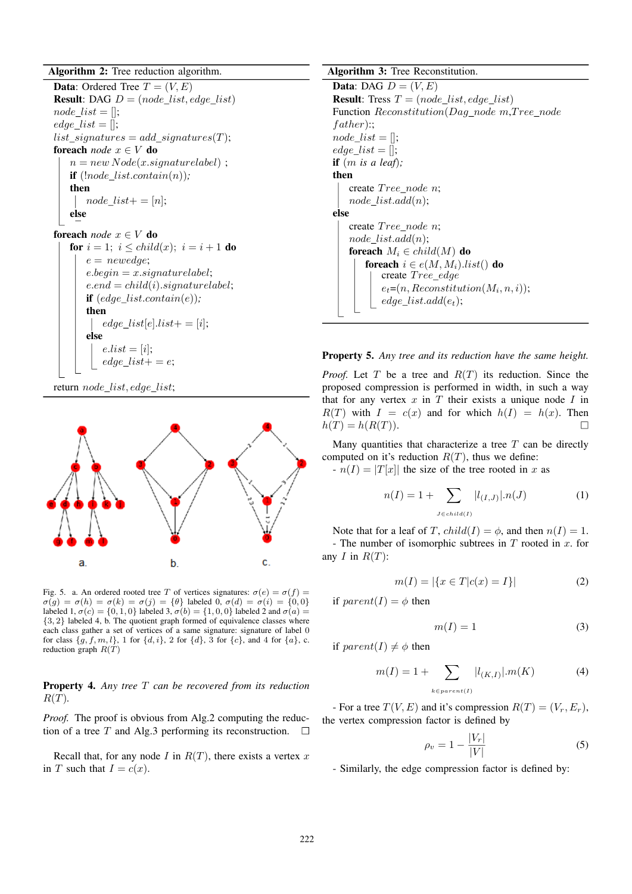Algorithm 2: Tree reduction algorithm.

**Data:** Ordered Tree  $T = (V, E)$ **Result:** DAG  $D = (node\_list, edge\_list)$  $node\_list = []$ ; edge list  $=$  [];  $list\_signatures = add\_signatures(T);$ foreach *node* x ∈ V do  $n = new Node(x.\text{signaturelabel})$ ; if  $($ *lnode list.contain(n)* $);$ then  $node\_list += [n];$ else foreach *node*  $x \in V$  do for  $i = 1$ ;  $i \le child(x)$ ;  $i = i + 1$  do  $e = \textit{newedge};$  $e. begin = x. signaturelabel;$  $e.end = child(i).signaturelabel;$ 

if (edge list.contain(e))*;* then  $edge\_list[e].list += [i];$ else  $e-list = [i];$  $edge\_list += e;$ 





Fig. 5. a. An ordered rooted tree T of vertices signatures:  $\sigma(e) = \sigma(f)$  =  $\sigma(g) = \sigma(h) = \sigma(k) = \sigma(j) = {\theta}$  labeled 0,  $\sigma(d) = \sigma(i) = \{0, 0\}$ labeled 1,  $\sigma(c) = \{0, 1, 0\}$  labeled 3,  $\sigma(b) = \{1, 0, 0\}$  labeled 2 and  $\sigma(a) =$ {3, 2} labeled 4, b. The quotient graph formed of equivalence classes where each class gather a set of vertices of a same signature: signature of label 0 for class  $\{g, f, m, l\}$ , 1 for  $\{d, i\}$ , 2 for  $\{d\}$ , 3 for  $\{c\}$ , and 4 for  $\{a\}$ , c. reduction graph  $R(T)$ 

Property 4. *Any tree* T *can be recovered from its reduction*  $R(T)$ .

*Proof.* The proof is obvious from Alg.2 computing the reduction of a tree T and Alg.3 performing its reconstruction.  $\Box$ 

Recall that, for any node I in  $R(T)$ , there exists a vertex x in T such that  $I = c(x)$ .

#### Algorithm 3: Tree Reconstitution.

Data: DAG  $D = (V, E)$ **Result:** Tress  $T = (node\_list, edge\_list)$ Function Reconstitution(Dag node m, Tree node  $father)$ ::  $node\_list = []$ ;  $edge\_list = []$ ; if (m *is a leaf*)*;* then create Tree node n: node  $list.add(n);$ else create Tree\_node n;  $node\_list.add(n);$ foreach  $M_i \in child(M)$  do foreach  $i \in e(M, M_i)$ .list() do create Tree\_edge  $e_t = (n, Recondition(M_i, n, i));$  $edge\_list.add(e_t);$ 



*Proof.* Let T be a tree and  $R(T)$  its reduction. Since the proposed compression is performed in width, in such a way that for any vertex  $x$  in  $T$  their exists a unique node  $I$  in  $R(T)$  with  $I = c(x)$  and for which  $h(I) = h(x)$ . Then  $h(T) = h(R(T)).$  $\Box$ 

Many quantities that characterize a tree  $T$  can be directly computed on it's reduction  $R(T)$ , thus we define:

 $-n(I) = |T[x]|$  the size of the tree rooted in x as

$$
n(I) = 1 + \sum_{J \in child(I)} |l_{(I,J)}| \cdot n(J)
$$
 (1)

Note that for a leaf of T,  $child(I) = \phi$ , and then  $n(I) = 1$ .

- The number of isomorphic subtrees in  $T$  rooted in  $x$ . for any  $I$  in  $R(T)$ :

$$
m(I) = |\{x \in T | c(x) = I\}| \tag{2}
$$

if  $parent(I) = \phi$  then

$$
m(I) = 1\tag{3}
$$

if  $parent(I) \neq \phi$  then

$$
m(I) = 1 + \sum_{k \in parent(I)} |l_{(K,I)}| \cdot m(K)
$$
 (4)

- For a tree  $T(V, E)$  and it's compression  $R(T) = (V_r, E_r)$ , the vertex compression factor is defined by

$$
\rho_v = 1 - \frac{|V_r|}{|V|} \tag{5}
$$

- Similarly, the edge compression factor is defined by: